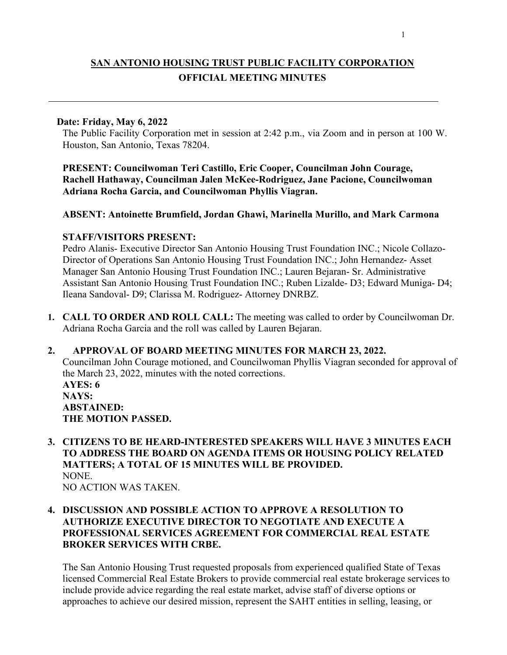# **SAN ANTONIO HOUSING TRUST PUBLIC FACILITY CORPORATION OFFICIAL MEETING MINUTES**

#### **Date: Friday, May 6, 2022**

The Public Facility Corporation met in session at 2:42 p.m., via Zoom and in person at 100 W. Houston, San Antonio, Texas 78204.

**PRESENT: Councilwoman Teri Castillo, Eric Cooper, Councilman John Courage, Rachell Hathaway, Councilman Jalen McKee-Rodriguez, Jane Pacione, Councilwoman Adriana Rocha Garcia, and Councilwoman Phyllis Viagran.**

#### **ABSENT: Antoinette Brumfield, Jordan Ghawi, Marinella Murillo, and Mark Carmona**

#### **STAFF/VISITORS PRESENT:**

Pedro Alanis- Executive Director San Antonio Housing Trust Foundation INC.; Nicole Collazo-Director of Operations San Antonio Housing Trust Foundation INC.; John Hernandez- Asset Manager San Antonio Housing Trust Foundation INC.; Lauren Bejaran- Sr. Administrative Assistant San Antonio Housing Trust Foundation INC.; Ruben Lizalde- D3; Edward Muniga- D4; Ileana Sandoval- D9; Clarissa M. Rodriguez- Attorney DNRBZ.

**1. CALL TO ORDER AND ROLL CALL:** The meeting was called to order by Councilwoman Dr. Adriana Rocha Garcia and the roll was called by Lauren Bejaran.

#### **2. APPROVAL OF BOARD MEETING MINUTES FOR MARCH 23, 2022.**

Councilman John Courage motioned, and Councilwoman Phyllis Viagran seconded for approval of the March 23, 2022, minutes with the noted corrections. **AYES: 6 NAYS: ABSTAINED: THE MOTION PASSED.**

**3. CITIZENS TO BE HEARD-INTERESTED SPEAKERS WILL HAVE 3 MINUTES EACH TO ADDRESS THE BOARD ON AGENDA ITEMS OR HOUSING POLICY RELATED MATTERS; A TOTAL OF 15 MINUTES WILL BE PROVIDED.** NONE. NO ACTION WAS TAKEN.

## **4. DISCUSSION AND POSSIBLE ACTION TO APPROVE A RESOLUTION TO AUTHORIZE EXECUTIVE DIRECTOR TO NEGOTIATE AND EXECUTE A PROFESSIONAL SERVICES AGREEMENT FOR COMMERCIAL REAL ESTATE BROKER SERVICES WITH CRBE.**

The San Antonio Housing Trust requested proposals from experienced qualified State of Texas licensed Commercial Real Estate Brokers to provide commercial real estate brokerage services to include provide advice regarding the real estate market, advise staff of diverse options or approaches to achieve our desired mission, represent the SAHT entities in selling, leasing, or